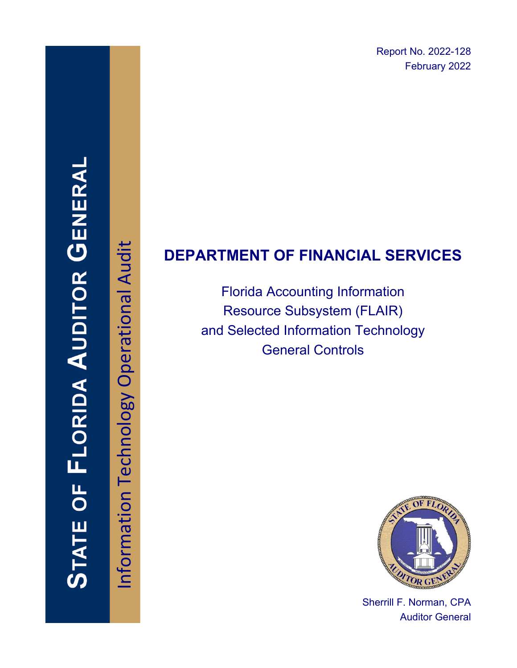Report No. 2022-128 February 2022

# STATE OF FLORIDA AUDITOR GENERA

Information Technology Operational Audit Information Technology Operational Audit

# **DEPARTMENT OF FINANCIAL SERVICES**

Florida Accounting Information Resource Subsystem (FLAIR) and Selected Information Technology General Controls



Sherrill F. Norman, CPA Auditor General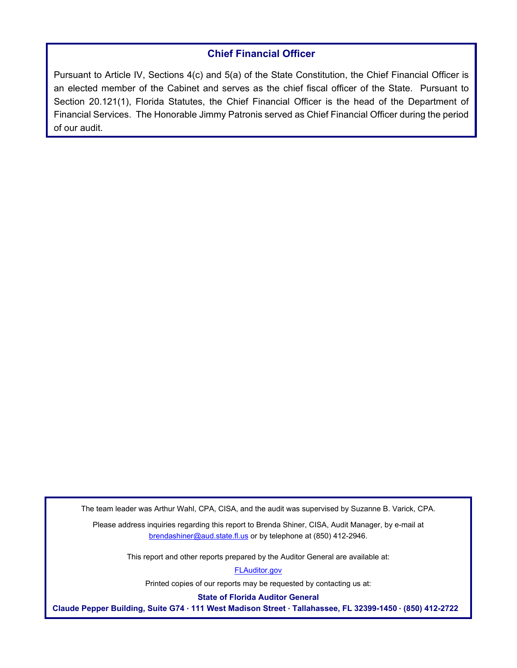### **Chief Financial Officer**

Pursuant to Article IV, Sections 4(c) and 5(a) of the State Constitution, the Chief Financial Officer is an elected member of the Cabinet and serves as the chief fiscal officer of the State. Pursuant to Section 20.121(1), Florida Statutes, the Chief Financial Officer is the head of the Department of Financial Services. The Honorable Jimmy Patronis served as Chief Financial Officer during the period of our audit.

The team leader was Arthur Wahl, CPA, CISA, and the audit was supervised by Suzanne B. Varick, CPA.

Please address inquiries regarding this report to Brenda Shiner, CISA, Audit Manager, by e-mail at brendashiner@aud.state.fl.us or by telephone at (850) 412-2946.

This report and other reports prepared by the Auditor General are available at:

[FLAuditor.gov](http://flauditor.gov/) 

Printed copies of our reports may be requested by contacting us at:

**State of Florida Auditor General** 

**Claude Pepper Building, Suite G74 · 111 West Madison Street · Tallahassee, FL 32399-1450 · (850) 412-2722**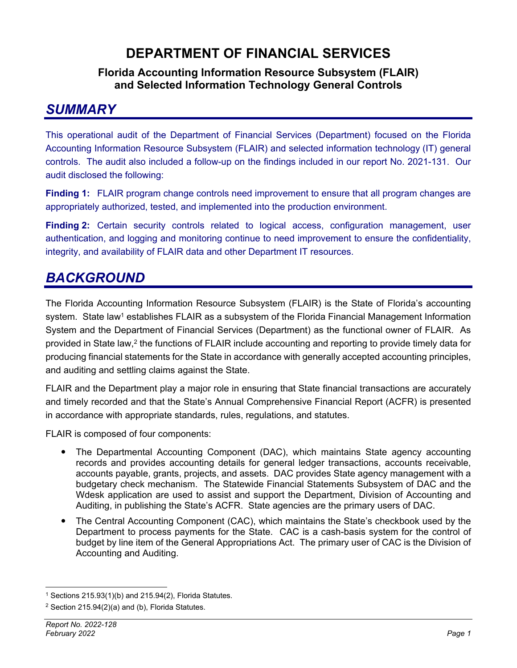# **DEPARTMENT OF FINANCIAL SERVICES**

### **Florida Accounting Information Resource Subsystem (FLAIR) and Selected Information Technology General Controls**

# *SUMMARY*

This operational audit of the Department of Financial Services (Department) focused on the Florida Accounting Information Resource Subsystem (FLAIR) and selected information technology (IT) general controls. The audit also included a follow-up on the findings included in our report No. 2021-131. Our audit disclosed the following:

**Finding 1:** FLAIR program change controls need improvement to ensure that all program changes are appropriately authorized, tested, and implemented into the production environment.

**Finding 2:** Certain security controls related to logical access, configuration management, user authentication, and logging and monitoring continue to need improvement to ensure the confidentiality, integrity, and availability of FLAIR data and other Department IT resources.

# *BACKGROUND*

The Florida Accounting Information Resource Subsystem (FLAIR) is the State of Florida's accounting system. State law<sup>1</sup> establishes FLAIR as a subsystem of the Florida Financial Management Information System and the Department of Financial Services (Department) as the functional owner of FLAIR. As provided in State law,<sup>2</sup> the functions of FLAIR include accounting and reporting to provide timely data for producing financial statements for the State in accordance with generally accepted accounting principles, and auditing and settling claims against the State.

FLAIR and the Department play a major role in ensuring that State financial transactions are accurately and timely recorded and that the State's Annual Comprehensive Financial Report (ACFR) is presented in accordance with appropriate standards, rules, regulations, and statutes.

FLAIR is composed of four components:

- The Departmental Accounting Component (DAC), which maintains State agency accounting records and provides accounting details for general ledger transactions, accounts receivable, accounts payable, grants, projects, and assets. DAC provides State agency management with a budgetary check mechanism. The Statewide Financial Statements Subsystem of DAC and the Wdesk application are used to assist and support the Department, Division of Accounting and Auditing, in publishing the State's ACFR. State agencies are the primary users of DAC.
- The Central Accounting Component (CAC), which maintains the State's checkbook used by the Department to process payments for the State. CAC is a cash-basis system for the control of budget by line item of the General Appropriations Act. The primary user of CAC is the Division of Accounting and Auditing.

 $1$  Sections 215.93(1)(b) and 215.94(2), Florida Statutes.

 $2$  Section 215.94(2)(a) and (b), Florida Statutes.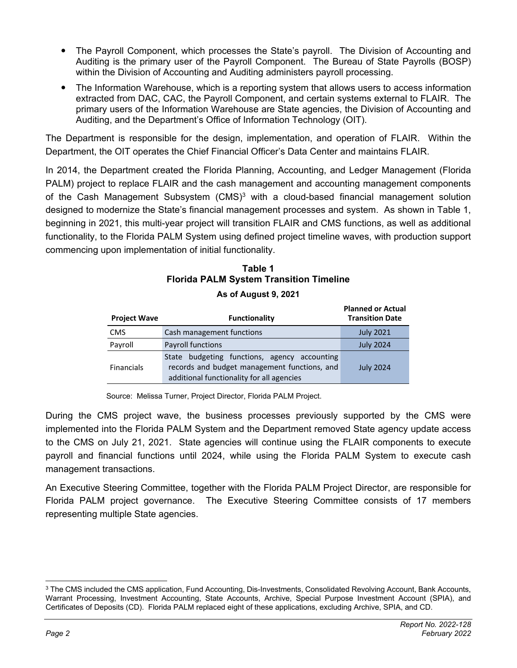- The Payroll Component, which processes the State's payroll. The Division of Accounting and Auditing is the primary user of the Payroll Component. The Bureau of State Payrolls (BOSP) within the Division of Accounting and Auditing administers payroll processing.
- The Information Warehouse, which is a reporting system that allows users to access information extracted from DAC, CAC, the Payroll Component, and certain systems external to FLAIR. The primary users of the Information Warehouse are State agencies, the Division of Accounting and Auditing, and the Department's Office of Information Technology (OIT).

The Department is responsible for the design, implementation, and operation of FLAIR. Within the Department, the OIT operates the Chief Financial Officer's Data Center and maintains FLAIR.

In 2014, the Department created the Florida Planning, Accounting, and Ledger Management (Florida PALM) project to replace FLAIR and the cash management and accounting management components of the Cash Management Subsystem (CMS)3 with a cloud-based financial management solution designed to modernize the State's financial management processes and system. As shown in Table 1, beginning in 2021, this multi-year project will transition FLAIR and CMS functions, as well as additional functionality, to the Florida PALM System using defined project timeline waves, with production support commencing upon implementation of initial functionality.

### **Table 1 Florida PALM System Transition Timeline**

| <b>Project Wave</b> | <b>Functionality</b>                                                                                                                      | <b>Planned or Actual</b><br><b>Transition Date</b> |
|---------------------|-------------------------------------------------------------------------------------------------------------------------------------------|----------------------------------------------------|
| <b>CMS</b>          | Cash management functions                                                                                                                 | <b>July 2021</b>                                   |
| Payroll             | Payroll functions                                                                                                                         | <b>July 2024</b>                                   |
| <b>Financials</b>   | State budgeting functions, agency accounting<br>records and budget management functions, and<br>additional functionality for all agencies | <b>July 2024</b>                                   |

### **As of August 9, 2021**

Source: Melissa Turner, Project Director, Florida PALM Project.

During the CMS project wave, the business processes previously supported by the CMS were implemented into the Florida PALM System and the Department removed State agency update access to the CMS on July 21, 2021. State agencies will continue using the FLAIR components to execute payroll and financial functions until 2024, while using the Florida PALM System to execute cash management transactions.

An Executive Steering Committee, together with the Florida PALM Project Director, are responsible for Florida PALM project governance. The Executive Steering Committee consists of 17 members representing multiple State agencies.

<sup>&</sup>lt;sup>3</sup> The CMS included the CMS application, Fund Accounting, Dis-Investments, Consolidated Revolving Account, Bank Accounts, Warrant Processing, Investment Accounting, State Accounts, Archive, Special Purpose Investment Account (SPIA), and Certificates of Deposits (CD). Florida PALM replaced eight of these applications, excluding Archive, SPIA, and CD.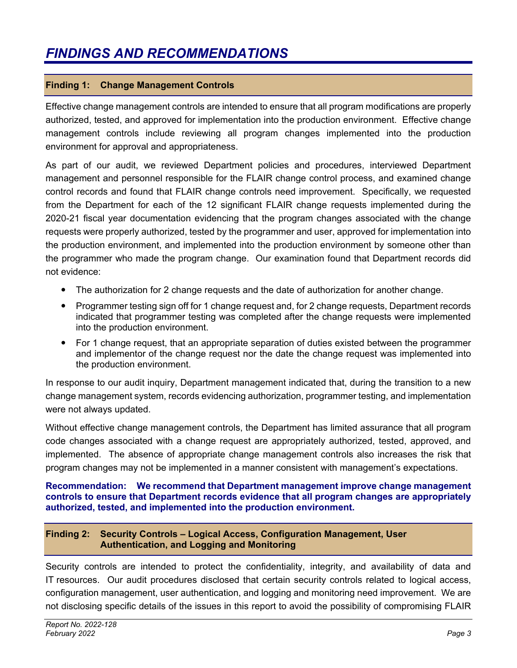### **Finding 1: Change Management Controls**

Effective change management controls are intended to ensure that all program modifications are properly authorized, tested, and approved for implementation into the production environment. Effective change management controls include reviewing all program changes implemented into the production environment for approval and appropriateness.

As part of our audit, we reviewed Department policies and procedures, interviewed Department management and personnel responsible for the FLAIR change control process, and examined change control records and found that FLAIR change controls need improvement. Specifically, we requested from the Department for each of the 12 significant FLAIR change requests implemented during the 2020-21 fiscal year documentation evidencing that the program changes associated with the change requests were properly authorized, tested by the programmer and user, approved for implementation into the production environment, and implemented into the production environment by someone other than the programmer who made the program change. Our examination found that Department records did not evidence:

- The authorization for 2 change requests and the date of authorization for another change.
- Programmer testing sign off for 1 change request and, for 2 change requests, Department records indicated that programmer testing was completed after the change requests were implemented into the production environment.
- For 1 change request, that an appropriate separation of duties existed between the programmer and implementor of the change request nor the date the change request was implemented into the production environment.

In response to our audit inquiry, Department management indicated that, during the transition to a new change management system, records evidencing authorization, programmer testing, and implementation were not always updated.

Without effective change management controls, the Department has limited assurance that all program code changes associated with a change request are appropriately authorized, tested, approved, and implemented. The absence of appropriate change management controls also increases the risk that program changes may not be implemented in a manner consistent with management's expectations.

### **Recommendation: We recommend that Department management improve change management controls to ensure that Department records evidence that all program changes are appropriately authorized, tested, and implemented into the production environment.**

### **Finding 2: Security Controls – Logical Access, Configuration Management, User Authentication, and Logging and Monitoring**

Security controls are intended to protect the confidentiality, integrity, and availability of data and IT resources. Our audit procedures disclosed that certain security controls related to logical access, configuration management, user authentication, and logging and monitoring need improvement. We are not disclosing specific details of the issues in this report to avoid the possibility of compromising FLAIR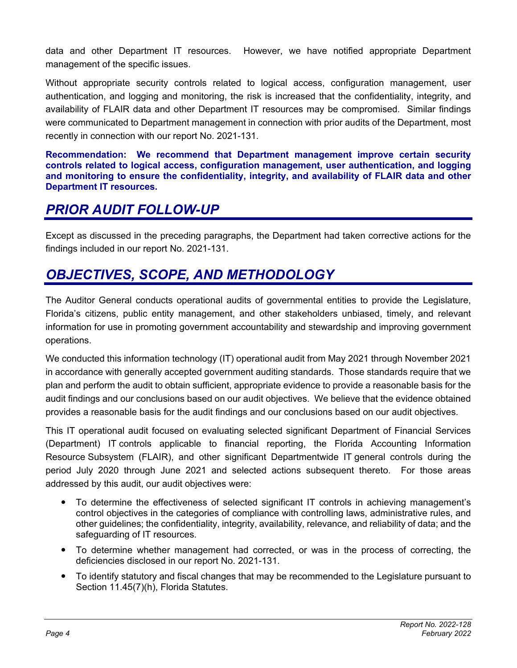data and other Department IT resources. However, we have notified appropriate Department management of the specific issues.

Without appropriate security controls related to logical access, configuration management, user authentication, and logging and monitoring, the risk is increased that the confidentiality, integrity, and availability of FLAIR data and other Department IT resources may be compromised. Similar findings were communicated to Department management in connection with prior audits of the Department, most recently in connection with our report No. 2021-131.

**Recommendation: We recommend that Department management improve certain security controls related to logical access, configuration management, user authentication, and logging and monitoring to ensure the confidentiality, integrity, and availability of FLAIR data and other Department IT resources.** 

# *PRIOR AUDIT FOLLOW-UP*

Except as discussed in the preceding paragraphs, the Department had taken corrective actions for the findings included in our report No. 2021-131.

# *OBJECTIVES, SCOPE, AND METHODOLOGY*

The Auditor General conducts operational audits of governmental entities to provide the Legislature, Florida's citizens, public entity management, and other stakeholders unbiased, timely, and relevant information for use in promoting government accountability and stewardship and improving government operations.

We conducted this information technology (IT) operational audit from May 2021 through November 2021 in accordance with generally accepted government auditing standards. Those standards require that we plan and perform the audit to obtain sufficient, appropriate evidence to provide a reasonable basis for the audit findings and our conclusions based on our audit objectives. We believe that the evidence obtained provides a reasonable basis for the audit findings and our conclusions based on our audit objectives.

This IT operational audit focused on evaluating selected significant Department of Financial Services (Department) IT controls applicable to financial reporting, the Florida Accounting Information Resource Subsystem (FLAIR), and other significant Departmentwide IT general controls during the period July 2020 through June 2021 and selected actions subsequent thereto. For those areas addressed by this audit, our audit objectives were:

- To determine the effectiveness of selected significant IT controls in achieving management's control objectives in the categories of compliance with controlling laws, administrative rules, and other guidelines; the confidentiality, integrity, availability, relevance, and reliability of data; and the safeguarding of IT resources.
- To determine whether management had corrected, or was in the process of correcting, the deficiencies disclosed in our report No. 2021-131.
- To identify statutory and fiscal changes that may be recommended to the Legislature pursuant to Section 11.45(7)(h), Florida Statutes.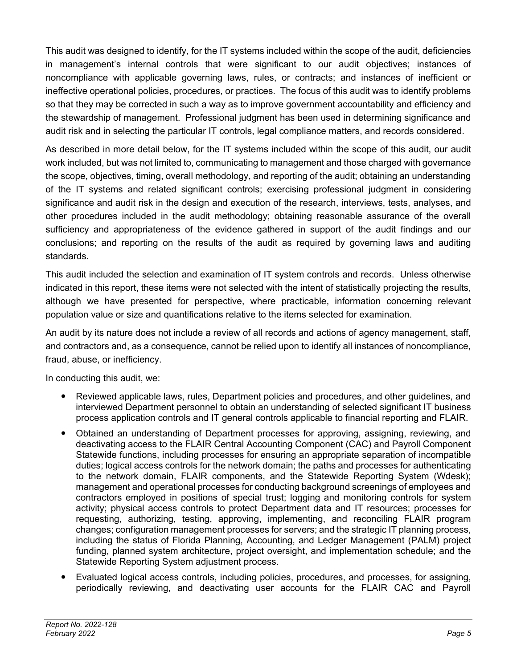This audit was designed to identify, for the IT systems included within the scope of the audit, deficiencies in management's internal controls that were significant to our audit objectives; instances of noncompliance with applicable governing laws, rules, or contracts; and instances of inefficient or ineffective operational policies, procedures, or practices. The focus of this audit was to identify problems so that they may be corrected in such a way as to improve government accountability and efficiency and the stewardship of management. Professional judgment has been used in determining significance and audit risk and in selecting the particular IT controls, legal compliance matters, and records considered.

As described in more detail below, for the IT systems included within the scope of this audit, our audit work included, but was not limited to, communicating to management and those charged with governance the scope, objectives, timing, overall methodology, and reporting of the audit; obtaining an understanding of the IT systems and related significant controls; exercising professional judgment in considering significance and audit risk in the design and execution of the research, interviews, tests, analyses, and other procedures included in the audit methodology; obtaining reasonable assurance of the overall sufficiency and appropriateness of the evidence gathered in support of the audit findings and our conclusions; and reporting on the results of the audit as required by governing laws and auditing standards.

This audit included the selection and examination of IT system controls and records. Unless otherwise indicated in this report, these items were not selected with the intent of statistically projecting the results, although we have presented for perspective, where practicable, information concerning relevant population value or size and quantifications relative to the items selected for examination.

An audit by its nature does not include a review of all records and actions of agency management, staff, and contractors and, as a consequence, cannot be relied upon to identify all instances of noncompliance, fraud, abuse, or inefficiency.

In conducting this audit, we:

- Reviewed applicable laws, rules, Department policies and procedures, and other guidelines, and interviewed Department personnel to obtain an understanding of selected significant IT business process application controls and IT general controls applicable to financial reporting and FLAIR.
- Obtained an understanding of Department processes for approving, assigning, reviewing, and deactivating access to the FLAIR Central Accounting Component (CAC) and Payroll Component Statewide functions, including processes for ensuring an appropriate separation of incompatible duties; logical access controls for the network domain; the paths and processes for authenticating to the network domain, FLAIR components, and the Statewide Reporting System (Wdesk); management and operational processes for conducting background screenings of employees and contractors employed in positions of special trust; logging and monitoring controls for system activity; physical access controls to protect Department data and IT resources; processes for requesting, authorizing, testing, approving, implementing, and reconciling FLAIR program changes; configuration management processes for servers; and the strategic IT planning process, including the status of Florida Planning, Accounting, and Ledger Management (PALM) project funding, planned system architecture, project oversight, and implementation schedule; and the Statewide Reporting System adjustment process.
- Evaluated logical access controls, including policies, procedures, and processes, for assigning, periodically reviewing, and deactivating user accounts for the FLAIR CAC and Payroll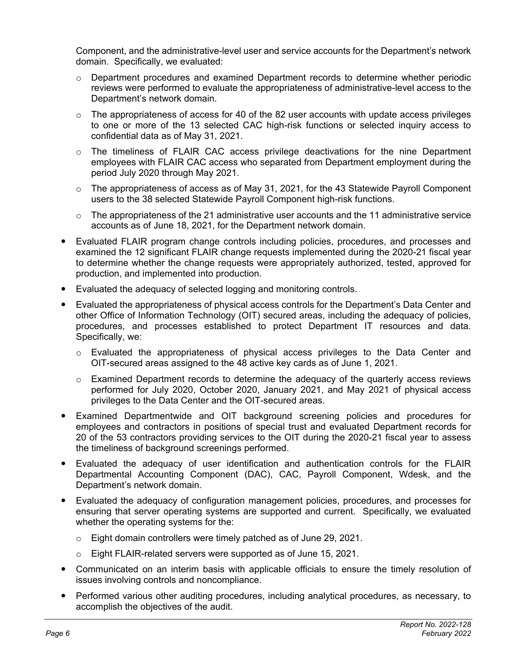Component, and the administrative-level user and service accounts for the Department's network domain. Specifically, we evaluated:

- $\circ$  Department procedures and examined Department records to determine whether periodic reviews were performed to evaluate the appropriateness of administrative-level access to the Department's network domain.
- $\circ$  The appropriateness of access for 40 of the 82 user accounts with update access privileges to one or more of the 13 selected CAC high-risk functions or selected inquiry access to confidential data as of May 31, 2021.
- o The timeliness of FLAIR CAC access privilege deactivations for the nine Department employees with FLAIR CAC access who separated from Department employment during the period July 2020 through May 2021.
- $\circ$  The appropriateness of access as of May 31, 2021, for the 43 Statewide Payroll Component users to the 38 selected Statewide Payroll Component high-risk functions.
- $\circ$  The appropriateness of the 21 administrative user accounts and the 11 administrative service accounts as of June 18, 2021, for the Department network domain.
- Evaluated FLAIR program change controls including policies, procedures, and processes and examined the 12 significant FLAIR change requests implemented during the 2020-21 fiscal year to determine whether the change requests were appropriately authorized, tested, approved for production, and implemented into production.
- Evaluated the adequacy of selected logging and monitoring controls.
- Evaluated the appropriateness of physical access controls for the Department's Data Center and other Office of Information Technology (OIT) secured areas, including the adequacy of policies, procedures, and processes established to protect Department IT resources and data. Specifically, we:
	- o Evaluated the appropriateness of physical access privileges to the Data Center and OIT-secured areas assigned to the 48 active key cards as of June 1, 2021.
	- $\circ$  Examined Department records to determine the adequacy of the quarterly access reviews performed for July 2020, October 2020, January 2021, and May 2021 of physical access privileges to the Data Center and the OIT-secured areas.
- Examined Departmentwide and OIT background screening policies and procedures for employees and contractors in positions of special trust and evaluated Department records for 20 of the 53 contractors providing services to the OIT during the 2020-21 fiscal year to assess the timeliness of background screenings performed.
- Evaluated the adequacy of user identification and authentication controls for the FLAIR Departmental Accounting Component (DAC), CAC, Payroll Component, Wdesk, and the Department's network domain.
- Evaluated the adequacy of configuration management policies, procedures, and processes for ensuring that server operating systems are supported and current. Specifically, we evaluated whether the operating systems for the:
	- o Eight domain controllers were timely patched as of June 29, 2021.
	- o Eight FLAIR-related servers were supported as of June 15, 2021.
- Communicated on an interim basis with applicable officials to ensure the timely resolution of issues involving controls and noncompliance.
- Performed various other auditing procedures, including analytical procedures, as necessary, to accomplish the objectives of the audit.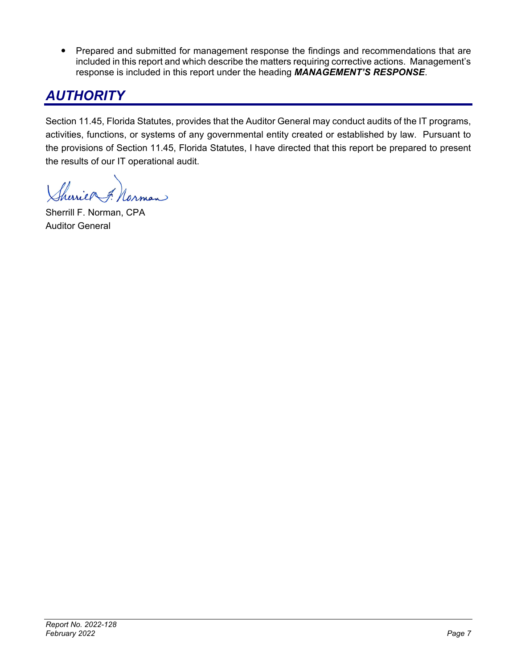• Prepared and submitted for management response the findings and recommendations that are included in this report and which describe the matters requiring corrective actions. Management's response is included in this report under the heading *MANAGEMENT'S RESPONSE*.

# *AUTHORITY*

Section 11.45, Florida Statutes, provides that the Auditor General may conduct audits of the IT programs, activities, functions, or systems of any governmental entity created or established by law. Pursuant to the provisions of Section 11.45, Florida Statutes, I have directed that this report be prepared to present the results of our IT operational audit.

herries f. Norman

Sherrill F. Norman, CPA Auditor General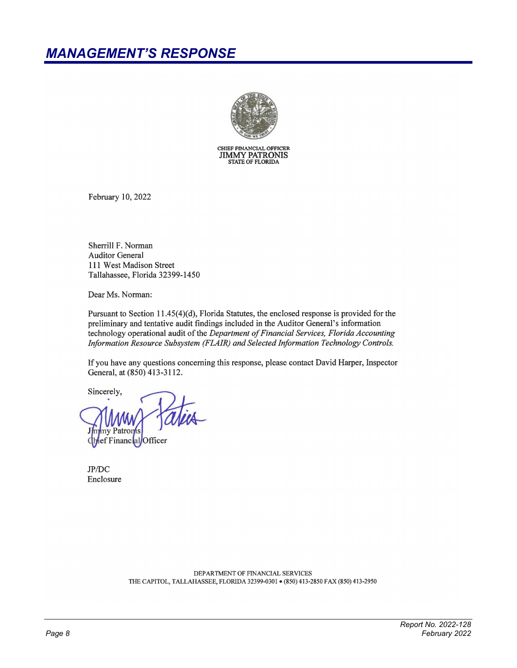

CHIEF FINANCIAL OFFICER<br>JIMMY PATRONIS<br>STATE OF FLORIDA

February 10, 2022

Sherrill F. Norman **Auditor General** 111 West Madison Street Tallahassee, Florida 32399-1450

Dear Ms. Norman:

Pursuant to Section 11.45(4)(d), Florida Statutes, the enclosed response is provided for the preliminary and tentative audit findings included in the Auditor General's information technology operational audit of the Department of Financial Services, Florida Accounting Information Resource Subsystem (FLAIR) and Selected Information Technology Controls.

If you have any questions concerning this response, please contact David Harper, Inspector General, at (850) 413-3112.

Sincerely, **v** Patroms ef Financal Officer

 $JP/DC$ Enclosure

> DEPARTMENT OF FINANCIAL SERVICES THE CAPITOL, TALLAHASSEE, FLORIDA 32399-0301 · (850) 413-2850 FAX (850) 413-2950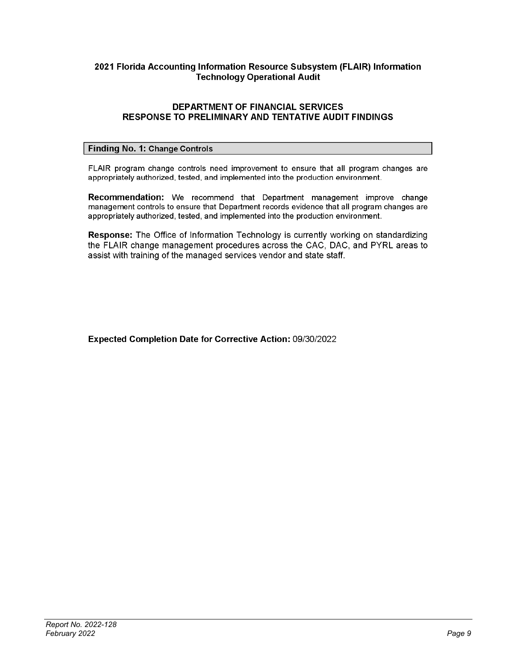### 2021 Florida Accounting Information Resource Subsystem (FLAIR) Information **Technology Operational Audit**

### **DEPARTMENT OF FINANCIAL SERVICES RESPONSE TO PRELIMINARY AND TENTATIVE AUDIT FINDINGS**

### **Finding No. 1: Change Controls**

FLAIR program change controls need improvement to ensure that all program changes are appropriately authorized, tested, and implemented into the production environment.

Recommendation: We recommend that Department management improve change management controls to ensure that Department records evidence that all program changes are appropriately authorized, tested, and implemented into the production environment.

Response: The Office of Information Technology is currently working on standardizing the FLAIR change management procedures across the CAC, DAC, and PYRL areas to assist with training of the managed services vendor and state staff.

Expected Completion Date for Corrective Action: 09/30/2022